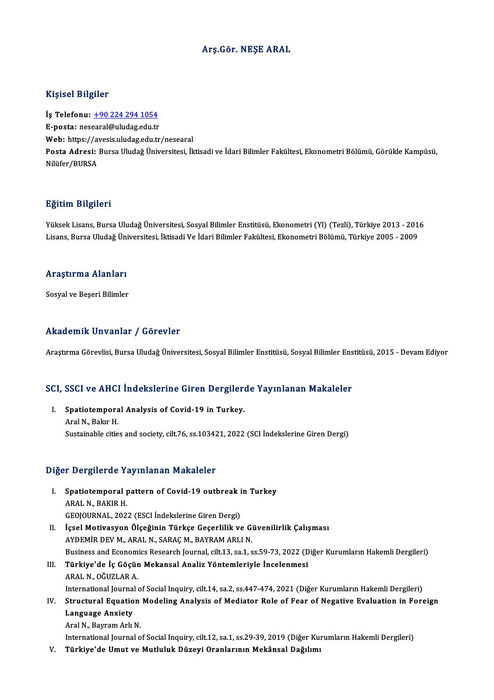#### Arş.Gör.NEŞE ARAL

#### Kişisel Bilgiler

Kişisel Bilgiler<br>İş Telefonu: <u>+90 224 294 1054</u><br>E nosta: nesearal@uludas.edu.tr 11191001 DABA01<br>İş Telefonu: <u>+90 224 294 1054</u><br>E-posta: nes[earal@uludag.edu.tr](tel:+90 224 294 1054) İş Telefonu: <u>+90 224 294 1054</u><br>E-posta: nesearal@uludag.edu.tr<br>Web: https://avesis.uludag.edu.tr/nesearal<br>Posta Adresi: Bursa Uludağ Üniversitesi İl E-posta: nesearal@uludag.edu.tr<br>Web: https://avesis.uludag.edu.tr/nesearal<br>Posta Adresi: Bursa Uludağ Üniversitesi, İktisadi ve İdari Bilimler Fakültesi, Ekonometri Bölümü, Görükle Kampüsü,<br>Nilüfer/BURSA Web: https://a<br>Posta Adresi:<br>Nilüfer/BURSA

#### Eğitim Bilgileri

E<mark>ğitim Bilgileri</mark><br>Yüksek Lisans, Bursa Uludağ Üniversitesi, Sosyal Bilimler Enstitüsü, Ekonometri (Yl) (Tezli), Türkiye 2013 - 2016<br>Lisans, Bursa Uludağ Üniversitesi, İktisadi Ve İdari Bilimler Felsültesi, Ekonometri Bölü 151:111 21151:011<br>Yüksek Lisans, Bursa Uludağ Üniversitesi, Sosyal Bilimler Enstitüsü, Ekonometri (Yl) (Tezli), Türkiye 2013 - 201<br>Lisans, Bursa Uludağ Üniversitesi, İktisadi Ve İdari Bilimler Fakültesi, Ekonometri Bölümü, Lisans, Bursa Uludağ Üniversitesi, İktisadi Ve İdari Bilimler Fakültesi, Ekonometri Bölümü, Türkiye 2005 - 2009<br>Araştırma Alanları

Sosyal ve Beşeri Bilimler

#### Akademik Unvanlar / Görevler

Araştırma Görevlisi, Bursa Uludağ Üniversitesi, Sosyal Bilimler Enstitüsü, Sosyal Bilimler Enstitüsü, 2015 - Devam Ediyor

# Araşurma Göreviisi, Bursa oludag oniversitesi, Sosyal Bilimler Ensutusu, Sosyal Bilimler Ens<br>SCI, SSCI ve AHCI İndekslerine Giren Dergilerde Yayınlanan Makaleler

CI, SSCI ve AHCI İndekslerine Giren Dergiler<br>I. Spatiotemporal Analysis of Covid-19 in Turkey.<br>Anal N. Balar H I. Spatiotemporal Analysis of Covid-19 in Turkey.<br>Aral N., Bakır H. Sustainable cities and society, cilt.76, ss.103421, 2022 (SCI İndekslerine Giren Dergi)

#### Diğer Dergilerde Yayınlanan Makaleler

- iğer Dergilerde Yayınlanan Makaleler<br>I. Spatiotemporal pattern of Covid-19 outbreak in Turkey ARAL N<sub>o</sub> Broad<br>Spatiotemporal<br>ARAL N., BAKIR H.<br>CEOLOUPNAL 202 Spatiotemporal pattern of Covid-19 outbreak i<br>ARAL N., BAKIR H.<br>GEOJOURNAL, 2022 (ESCI İndekslerine Giren Dergi)<br>İssal Matiyasyan Ölseğinin Türkse Cassalilik ve ARAL N., BAKIR H.<br>GEOJOURNAL, 2022 (ESCI İndekslerine Giren Dergi)<br>II. İçsel Motivasyon Ölçeğinin Türkçe Geçerlilik ve Güvenilirlik Çalışması AYDEMİRDEVM.,ARALN.,SARAÇM.,BAYRAMARLIN. Business and Economics Research Journal, cilt.13, sa.1, ss.59-73, 2022 (Diğer Kurumların Hakemli Dergileri) III. Türkiye'de İç Göçün Mekansal Analiz Yöntemleriyle İncelenmesi ARALN.,OĞUZLARA. Türkiye'de İç Göçün Mekansal Analiz Yöntemleriyle İncelenmesi<br>ARAL N., OĞUZLAR A.<br>International Journal of Social Inquiry, cilt.14, sa.2, ss.447-474, 2021 (Diğer Kurumların Hakemli Dergileri)<br>Structural Faustian Madeling A
	-
- ARAL N., OĞUZLAR A.<br>International Journal of Social Inquiry, cilt.14, sa.2, ss.447-474, 2021 (Diğer Kurumların Hakemli Dergileri)<br>Istructural Equation Modeling Analysis of Mediator Role of Fear of Negative Evaluation in Fo International Journal<br>Structural Equatio<br>Language Anxiety<br>Aral N. Bourom Arh Structural Equation<br>Language Anxiety<br>Aral N., Bayram Arlı N.<br>International Iournal e Language Anxiety<br>Aral N., Bayram Arlı N.<br>International Journal of Social Inquiry, cilt.12, sa.1, ss.29-39, 2019 (Diğer Kurumların Hakemli Dergileri)
	-
- V. Türkiye'de Umut ve Mutluluk Düzeyi Oranlarının Mekânsal Dağılımı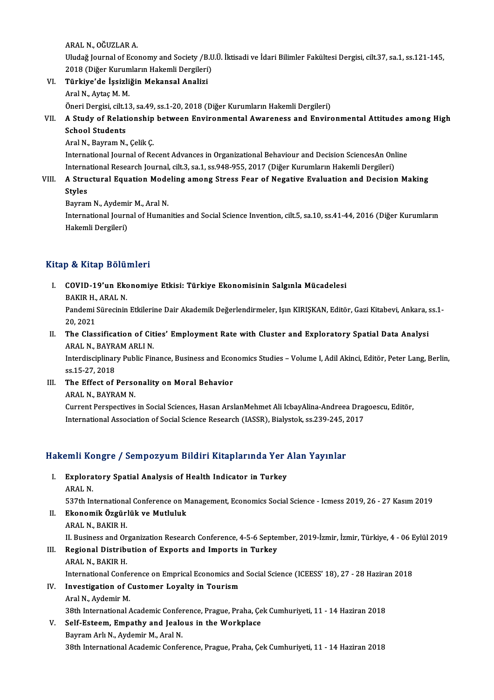ARALN.,OĞUZLARA.

ARAL N., OĞUZLAR A.<br>Uludağ Journal of Economy and Society /B.U.Ü. İktisadi ve İdari Bilimler Fakültesi Dergisi, cilt.37, sa.1, ss.121-145,<br>2018 (Dižer Kurumların Hakamli Dergileri) ARAL N., OĞUZLAR A.<br>Uludağ Journal of Economy and Society /B.U<br>2018 (Diğer Kurumların Hakemli Dergileri)<br>Türkiye'de İssirliğin Mekansal Analisi 2018 (Diğer Kurumların Hakemli Dergileri)

VI. Türkiye'de İşsizliğin Mekansal Analizi<br>Aral N., Aytaç M. M. Öneri Dergisi, cilt.13, sa.49, ss.1-20, 2018 (Diğer Kurumların Hakemli Dergileri) Aral N., Aytaç M. M.<br>Öneri Dergisi, cilt.13, sa.49, ss.1-20, 2018 (Diğer Kurumların Hakemli Dergileri)<br>VII. A Study of Relationship between Environmental Awareness and Environmental Attitudes among High<br>Sebacl Students

## Öneri Dergisi, cilt.1<br>A Study of Relati<br>School Students<br>Arel N. Peyram N. A Study of Relationship<br>School Students<br>Aral N., Bayram N., Çelik Ç.<br>International Journal of Bo

School Students<br>Aral N., Bayram N., Çelik Ç.<br>International Journal of Recent Advances in Organizational Behaviour and Decision SciencesAn Online<br>International Bessensh Journal, silt 3, sp.1, sp.948,955, 3917 (Dižer Kurumla Aral N., Bayram N., Çelik Ç.<br>International Journal of Recent Advances in Organizational Behaviour and Decision SciencesAn Onl<br>International Research Journal, cilt.3, sa.1, ss.948-955, 2017 (Diğer Kurumların Hakemli Dergile International Research Journal, cilt.3, sa.1, ss.948-955, 2017 (Diğer Kurumların Hakemli Dergileri)

### VIII. A Structural Equation Modeling among Stress Fear of Negative Evaluation and Decision Making<br>Styles A Structural Equation Mode<br>Styles<br>Bayram N., Aydemir M., Aral N.<br>International Iournal of Humer

International Journal of Humanities and Social Science Invention, cilt.5, sa.10, ss.41-44, 2016 (Diğer Kurumların<br>Hakemli Dergileri) Bayram N., Aydemi<br>International Journ<br>Hakemli Dergileri)

### Kitap & Kitap Bölümleri

- Itap & Kitap Bölümleri<br>I. COVID-19'un Ekonomiye Etkisi: Türkiye Ekonomisinin Salgınla Mücadelesi<br>RAKIR H. ARAL N p & Hitap Bora.<br>COVID-19'un Eko<br>BAKIR H., ARAL N.<br>Pandami Sünacinin
	-

COVID-19'un Ekonomiye Etkisi: Türkiye Ekonomisinin Salgınla Mücadelesi<br>BAKIR H., ARAL N.<br>Pandemi Sürecinin Etkilerine Dair Akademik Değerlendirmeler, Işın KIRIŞKAN, Editör, Gazi Kitabevi, Ankara, ss.1-<br>20.2021 BAKIR H.,<br>Pandemi !<br>20, 2021<br>The Clas Pandemi Sürecinin Etkilerine Dair Akademik Değerlendirmeler, Işın KIRIŞKAN, Editör, Gazi Kitabevi, Ankara, :<br>20, 2021<br>II. The Classification of Cities' Employment Rate with Cluster and Exploratory Spatial Data Analysi<br>ARAL

20, 2021<br>The Classification of Cit<br>ARAL N., BAYRAM ARLI N.<br>Interdissiplinery Bublic Ein The Classification of Cities' Employment Rate with Cluster and Exploratory Spatial Data Analysi<br>ARAL N., BAYRAM ARLI N.<br>Interdisciplinary Public Finance, Business and Economics Studies – Volume I, Adil Akinci, Editör, Pete

ARAL N., BAYR.<br>Interdisciplinar<br>ss.15-27, 2018<br>The Effect of Interdisciplinary Public Finance, Business and Ecompose 15-27, 2018<br>III. The Effect of Personality on Moral Behavior

ss.15-27, 2018<br>III. The Effect of Personality on Moral Behavior<br>ARAL N., BAYRAM N.

The Effect of Personality on Moral Behavior<br>ARAL N., BAYRAM N.<br>Current Perspectives in Social Sciences, Hasan ArslanMehmet Ali IcbayAlina-Andreea Dragoescu, Editör,<br>International Association of Social Science Besearch (IAS ARAL N., BAYRAM N.<br>Current Perspectives in Social Sciences, Hasan ArslanMehmet Ali IcbayAlina-Andreea Dra<sub>l</sub><br>International Association of Social Science Research (IASSR), Bialystok, ss.239-245, 2017

# International Association or Social Science Research (IASSR), Blalystok, ss.239-245, 2<br>Hakemli Kongre / Sempozyum Bildiri Kitaplarında Yer Alan Yayınlar

akemli Kongre / Sempozyum Bildiri Kitaplarında Yer<br>I. Exploratory Spatial Analysis of Health Indicator in Turkey I. Exploratory Spatial Analysis of Health Indicator in Turkey<br>ARAL N.

537th International Conference on Management, Economics Social Science - Icmess 2019, 26 - 27 Kasım 2019

- ARAL N.<br>537th International Conference on M<br>II. Ekonomik Özgürlük ve Mutluluk<br>ARAL N. BAKIB H 537th Internationa<br>Ekonomik Özgüri<br>ARAL N., BAKIR H.<br>H. Business and On
	-

ARAL N., BAKIR H.<br>II. Business and Organization Research Conference, 4-5-6 September, 2019-İzmir, İzmir, Türkiye, 4 - 06 Eylül 2019

## ARAL N., BAKIR H.<br>II. Business and Organization Research Conference, 4-5-6 Septer<br>III. Regional Distribution of Exports and Imports in Turkey **II. Business and Or<br>Regional Distrib<br>ARAL N., BAKIR H.<br>International Conf**

ARAL N., BAKIR H.<br>International Conference on Emprical Economics and Social Science (ICEESS' 18), 27 - 28 Haziran 2018

## ARAL N., BAKIR H.<br>International Conference on Emprical Economics and<br>IV. Investigation of Customer Loyalty in Tourism International Confer<br>**Investigation of C**<br>Aral N., Aydemir M.<br><sup>20th</sup> International (

38th InternationalAcademicConference,Prague,Praha,ÇekCumhuriyeti,11 -14Haziran2018

## Aral N., Aydemir M.<br>38th International Academic Conference, Prague, Praha, Çe<br>V. Self-Esteem, Empathy and Jealous in the Workplace<br>Bouram Ark N., Aydemir M., Aral N.

38th International Academic Confer<br>Self-Esteem, Empathy and Jealo<br>Bayram Arlı N., Aydemir M., Aral N.<br>29th International Academic Confer Bayram Arlı N., Aydemir M., Aral N.<br>38th International Academic Conference, Prague, Praha, Çek Cumhuriyeti, 11 - 14 Haziran 2018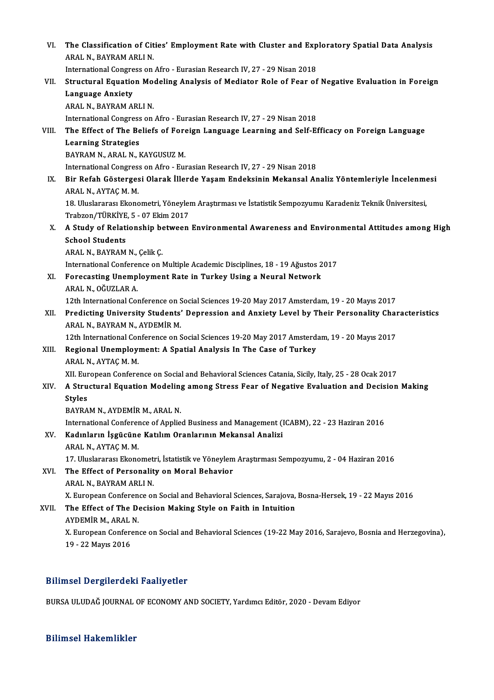| VI.   | The Classification of Cities' Employment Rate with Cluster and Exploratory Spatial Data Analysis                                               |
|-------|------------------------------------------------------------------------------------------------------------------------------------------------|
|       | ARAL N., BAYRAM ARLI N.                                                                                                                        |
|       | International Congress on Afro - Eurasian Research IV, 27 - 29 Nisan 2018                                                                      |
| VII.  | Structural Equation Modeling Analysis of Mediator Role of Fear of Negative Evaluation in Foreign                                               |
|       | <b>Language Anxiety</b>                                                                                                                        |
|       | ARAL N., BAYRAM ARLI N.                                                                                                                        |
|       | International Congress on Afro - Eurasian Research IV, 27 - 29 Nisan 2018                                                                      |
| VIII. | The Effect of The Beliefs of Foreign Language Learning and Self-Efficacy on Foreign Language                                                   |
|       | <b>Learning Strategies</b>                                                                                                                     |
|       | BAYRAM N., ARAL N., KAYGUSUZ M.                                                                                                                |
|       | International Congress on Afro - Eurasian Research IV, 27 - 29 Nisan 2018                                                                      |
| IX.   | Bir Refah Göstergesi Olarak İllerde Yaşam Endeksinin Mekansal Analiz Yöntemleriyle İncelenmesi<br>ARAL N., AYTAÇ M. M.                         |
|       | 18. Uluslararası Ekonometri, Yöneylem Araştırması ve İstatistik Sempozyumu Karadeniz Teknik Üniversitesi,<br>Trabzon/TÜRKİYE, 5 - 07 Ekim 2017 |
| Х.    | A Study of Relationship between Environmental Awareness and Environmental Attitudes among High                                                 |
|       | <b>School Students</b>                                                                                                                         |
|       | ARAL N., BAYRAM N., Çelik Ç.                                                                                                                   |
|       | International Conference on Multiple Academic Disciplines, 18 - 19 Ağustos 2017                                                                |
| XI.   | Forecasting Unemployment Rate in Turkey Using a Neural Network                                                                                 |
|       | ARAL N., OĞUZLAR A.                                                                                                                            |
|       | 12th International Conference on Social Sciences 19-20 May 2017 Amsterdam, 19 - 20 Mayıs 2017                                                  |
| XII.  | Predicting University Students' Depression and Anxiety Level by Their Personality Characteristics<br>ARAL N., BAYRAM N., AYDEMİR M.            |
|       | 12th International Conference on Social Sciences 19-20 May 2017 Amsterdam, 19 - 20 Mayıs 2017                                                  |
| XIII. | Regional Unemployment: A Spatial Analysis In The Case of Turkey<br>ARAL N, AYTAÇ M M                                                           |
|       | XII. European Conference on Social and Behavioral Sciences Catania, Sicily, Italy, 25 - 28 Ocak 2017                                           |
| XIV.  | A Structural Equation Modeling among Stress Fear of Negative Evaluation and Decision Making                                                    |
|       | <b>Styles</b>                                                                                                                                  |
|       | BAYRAM N., AYDEMİR M., ARAL N.                                                                                                                 |
|       | International Conference of Applied Business and Management (ICABM), 22 - 23 Haziran 2016                                                      |
| XV.   | Kadınların İşgücüne Katılım Oranlarının Mekansal Analizi                                                                                       |
|       | ARAL N., AYTAÇ M. M.                                                                                                                           |
|       | 17. Uluslararası Ekonometri, İstatistik ve Yöneylem Araştırması Sempozyumu, 2 - 04 Haziran 2016                                                |
| XVI.  | The Effect of Personality on Moral Behavior<br>ARAL N., BAYRAM ARLI N.                                                                         |
|       | X. European Conference on Social and Behavioral Sciences, Sarajova, Bosna-Hersek, 19 - 22 Mayıs 2016                                           |
| XVII. | The Effect of The Decision Making Style on Faith in Intuition<br>AYDEMİR M., ARAL N.                                                           |
|       | X. European Conference on Social and Behavioral Sciences (19-22 May 2016, Sarajevo, Bosnia and Herzegovina),<br>19 - 22 Mayıs 2016             |
|       |                                                                                                                                                |

### Bilimsel Dergilerdeki Faaliyetler

BURSA ULUDAĞ JOURNAL OF ECONOMY AND SOCIETY, Yardımcı Editör, 2020 - Devam Ediyor

#### Bilimsel Hakemlikler